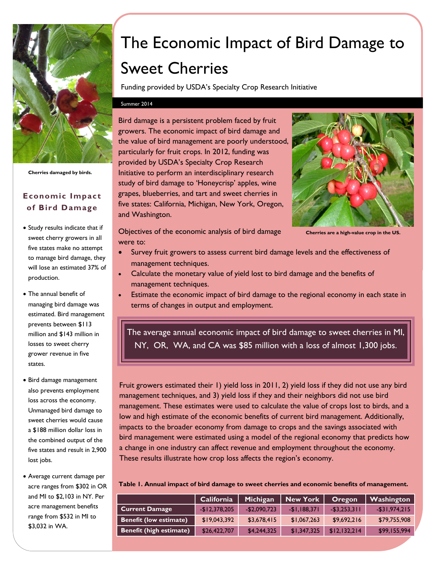

**Cherries damaged by birds.**

## **Economic Impact of Bird Damage**

- Study results indicate that if sweet cherry growers in all five states make no attempt to manage bird damage, they will lose an estimated 37% of production.
- The annual benefit of managing bird damage was estimated. Bird management prevents between \$113 million and \$143 million in losses to sweet cherry grower revenue in five states.
- Bird damage management also prevents employment loss across the economy. Unmanaged bird damage to sweet cherries would cause a \$188 million dollar loss in the combined output of the five states and result in 2,900 lost jobs.
- Average current damage per acre ranges from \$302 in OR and MI to \$2,103 in NY. Per acre management benefits range from \$532 in MI to \$3,032 in WA.

# The Economic Impact of Bird Damage to Sweet Cherries

Funding provided by USDA's Specialty Crop Research Initiative

#### Summer 2014

Bird damage is a persistent problem faced by fruit growers. The economic impact of bird damage and the value of bird management are poorly understood, particularly for fruit crops. In 2012, funding was provided by USDA's Specialty Crop Research Initiative to perform an interdisciplinary research study of bird damage to 'Honeycrisp' apples, wine grapes, blueberries, and tart and sweet cherries in five states: California, Michigan, New York, Oregon, and Washington.



**Cherries are a high-value crop in the US.**

- Objectives of the economic analysis of bird damage were to:
- Survey fruit growers to assess current bird damage levels and the effectiveness of management techniques.
- Calculate the monetary value of yield lost to bird damage and the benefits of management techniques.
- Estimate the economic impact of bird damage to the regional economy in each state in terms of changes in output and employment.

The average annual economic impact of bird damage to sweet cherries in MI, NY, OR, WA, and CA was \$85 million with a loss of almost 1,300 jobs.

Fruit growers estimated their 1) yield loss in 2011, 2) yield loss if they did not use any bird management techniques, and 3) yield loss if they and their neighbors did not use bird management. These estimates were used to calculate the value of crops lost to birds, and a low and high estimate of the economic benefits of current bird management. Additionally, impacts to the broader economy from damage to crops and the savings associated with bird management were estimated using a model of the regional economy that predicts how a change in one industry can affect revenue and employment throughout the economy. These results illustrate how crop loss affects the region's economy.

**Table 1. Annual impact of bird damage to sweet cherries and economic benefits of management.**

|                               | California     | Michigan      | <b>New York</b> | Oregon          | <b>Washington</b> |
|-------------------------------|----------------|---------------|-----------------|-----------------|-------------------|
| <b>Current Damage</b>         | $-$12,378,205$ | $-$2,090,723$ | $-$1,188,371$   | $-$ \$3,253,311 | $-$ \$31,974,215  |
| <b>Benefit (low estimate)</b> | \$19,043,392   | \$3,678,415   | \$1,067,263     | \$9,692,216     | \$79,755,908      |
| Benefit (high estimate)       | \$26,422,707   | \$4,244,325   | \$1,347,325     | \$12,132,214    | \$99,155,994      |